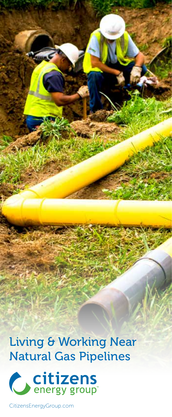Living & Working Near Natural Gas Pipelines



CitizensEnergyGroup.com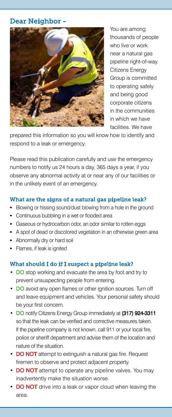# Dear Neighbor -



You are among thousands of people who live or work near a natural gas pipeline right-of-way. Citizens Energy Group is committed to operating safely and being good corporate citizens in the communities in which we have facilities. We have

prepared this information so you will know how to identify and respond to a leak or emergency.

Please read this publication carefully and use the emergency numbers to notify us 24 hours a day, 365 days a year, if you observe any abnormal activity at or near any of our facilities or in the unlikely event of an emergency.

### What are the signs of a natural gas pipeline leak?

- Blowing or hissing sound/dust blowing from a hole in the ground
- Continuous bubbling in a wet or flooded area
- Gaseous or hydrocarbon odor, an odor similar to rotten eggs
- A spot of dead or discolored vegetation in an otherwise green area
- Abnormally dry or hard soil
- Flames, if leak is ignited

### What should I do if I suspect a pipeline leak?

- DO stop working and evacuate the area by foot and try to prevent unsuspecting people from entering.
- DO avoid any open flames or other ignition sources. Turn off and leave equipment and vehicles. Your personal safety should be your first concern.
- DO notify Citizens Energy Group immediately at (317) 924-3311 so that the leak can be verified and corrective measures taken. If the pipeline company is not known, call 911 or your local fire, police or sheriff department and advise them of the location and nature of the situation.
- DO NOT attempt to extinguish a natural gas fire. Request firemen to observe and protect adjacent property.
- DO NOT attempt to operate any pipeline valves. You may inadvertently make the situation worse.
- **DO NOT** drive into a leak or vapor cloud when leaving the area.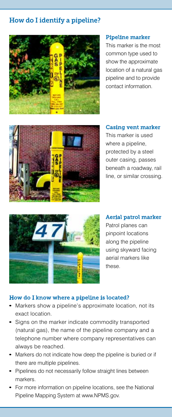# How do I identify a pipeline?



#### Pipeline marker

This marker is the most common type used to show the approximate location of a natural gas pipeline and to provide contact information.



#### Casing vent marker

This marker is used where a pipeline, protected by a steel outer casing, passes beneath a roadway, rail line, or similar crossing.



Aerial patrol marker Patrol planes can pinpoint locations along the pipeline using skyward facing aerial markers like these.

### How do I know where a pipeline is located?

- Markers show a pipeline's approximate location, not its exact location.
- Signs on the marker indicate commodity transported (natural gas), the name of the pipeline company and a telephone number where company representatives can always be reached.
- Markers do not indicate how deep the pipeline is buried or if there are multiple pipelines.
- Pipelines do not necessarily follow straight lines between markers.
- For more information on pipeline locations, see the National Pipeline Mapping System at www.NPMS.gov.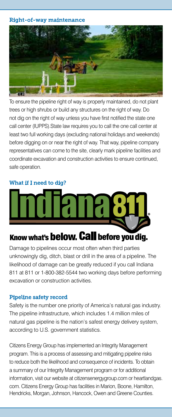Right-of-way maintenance



To ensure the pipeline right of way is properly maintained, do not plant trees or high shrubs or build any structures on the right of way. Do not dig on the right of way unless you have first notified the state one call center (IUPPS).State law requires you to call the one call center at least two full working days (excluding national holidays and weekends) before digging on or near the right of way. That way, pipeline company representatives can come to the site, clearly mark pipeline facilities and coordinate excavation and construction activities to ensure continued, safe operation.

## What if I need to dig?



# Damage to pipelines occur most often when third parties unknowingly dig, ditch, blast or drill in the area of a pipeline. The likelihood of damage can be greatly reduced if you call Indiana 811 at 811 or 1-800-382-5544 two working days before performing excavation or construction activities.

### Pipeline safety record

Safety is the number one priority of America's natural gas industry. The pipeline infrastructure, which includes 1.4 million miles of natural gas pipeline is the nation's safest energy delivery system, according to U.S. government statistics.

Citizens Energy Group has implemented an Integrity Management program. This is a process of assessing and mitigating pipeline risks to reduce both the likelihood and consequence of incidents. To obtain a summary of our Integrity Management program or for additional information, visit our website at citizensenergygroup.com or heartlandgas. com. Citizens Energy Group has facilities in Marion, Boone, Hamilton, Hendricks, Morgan, Johnson, Hancock, Owen and Greene Counties.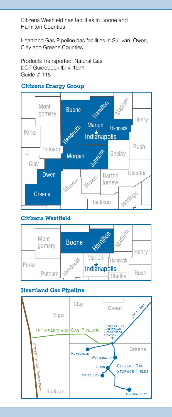Citizens Westfield has facilities in Boone and Hamilton Counties.

Heartland Gas Pipeline has facilities in Sullivan, Owen, Clay and Greene Counties.

Products Transported: Natural Gas DOT Guidebook ID # 1971 Guide # 115

### Citizens Energy Group



### Citizens Westfield



### Heartland Gas Pipeline

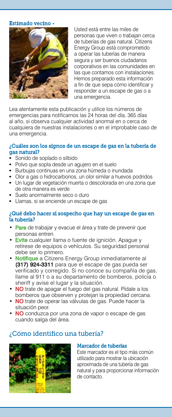#### Estimado vecino -



Usted está entre las miles de personas que viven o trabajan cerca de tuberías de gas natural. Citizens Energy Group está comprometido a operar las tuberías de manera segura y ser buenos ciudadanos corporativos en las comunidades en las que contamos con instalaciones. Hemos preparado esta información a fin de que sepa cómo identificar y responder a un escape de gas o a una emergencia.

Lea atentamente esta publicación y utilice los números de emergencias para notificarnos las 24 horas del día, 365 días al año, si observa cualquier actividad anormal en o cerca de cualquiera de nuestras instalaciones o en el improbable caso de una emergencia.

#### ¿Cuáles son los signos de un escape de gas en la tubería de gas natural?

- Sonido de soplado o silbido
- Polvo que sopla desde un agujero en el suelo
- Burbujas continuas en una zona húmeda o inundada
- Olor a gas o hidrocarbonos, un olor similar a huevos podridos
- Un lugar de vegetación muerta o descolorada en una zona que de otra manera es verde
- Suelo anormalmente seco o duro
- Llamas, si se enciende un escape de gas

#### ¿Qué debo hacer si sospecho que hay un escape de gas en la tubería?

- Pare de trabajar y evacue el área y trate de prevenir que personas entren.
- **Evite** cualquier llama o fuente de ignición. Apaque y retírese de equipos o vehículos. Su seguridad personal debe ser lo primero.
- Notifique a Citizens Energy Group inmediatamente al (317) 924-3311 para que el escape de gas pueda ser verificado y corregido. Si no conoce su compañía de gas, llame al 911 o a su departamento de bomberos, policía o sheriff y avise el lugar y la situación.
- NO trate de apagar el fuego del gas natural. Pídale a los bomberos que observen y protejan la propiedad cercana.
- NO trate de operar las válvulas de gas. Puede hacer la situación peor.
- NO conduzca por una zona de vapor o escape de gas cuando salga del área.

# ¿Cómo identifico una tubería?



#### Marcador de tuberías

Este marcador es el tipo más común utilizado para mostrar la ubicación aproximada de una tubería de gas natural y para proporcionar información de contacto.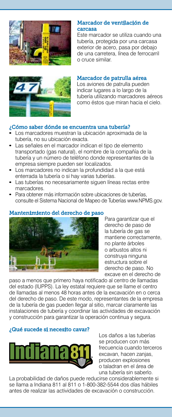

### Marcador de ventilación de carcasa

Este marcador se utiliza cuando una tubería, protegida por una carcasa exterior de acero, pasa por debajo de una carretera, línea de ferrocarril o cruce similar.



# Marcador de patrulla aérea

Los aviones de patrulla pueden indicar lugares a lo largo de la tubería utilizando marcadores aéreos como éstos que miran hacia el cielo.

## ¿Cómo saber dónde se encuentra una tubería?

- Los marcadores muestran la ubicación aproximada de la tubería, no su ubicación exacta.
- Las señales en el marcador indican el tipo de elemento transportado (gas natural), el nombre de la compañía de la tubería y un número de teléfono donde representantes de la empresa siempre pueden ser localizados.
- Los marcadores no indican la profundidad a la que está enterrada la tubería o si hay varias tuberías.
- Las tuberías no necesariamente siguen líneas rectas entre marcadores.
- Para obtener más información sobre ubicaciones de tuberías, consulte el Sistema Nacional de Mapeo de Tuberías www.NPMS.gov.

### Mantenimiento del derecho de paso



Para garantizar que el derecho de paso de la tubería de gas se mantiene correctamente, no plante árboles o arbustos altos ni construya ninguna estructura sobre el derecho de paso. No excave en el derecho de

paso a menos que primero haya notificado al centro de llamadas del estado (IUPPS). La ley estatal requiere que se llame el centro de llamadas al menos 48 horas antes de la excavación en o cerca del derecho de paso. De este modo, representantes de la empresa de la tubería de gas pueden llegar al sitio, marcar claramente las instalaciones de tubería y coordinar las actividades de excavación y construcción para garantizar la operación continua y segura.

### ¿Qué sucede si necesito cavar?



Los daños a las tuberías se producen con más frecuencia cuando terceros excavan, hacen zanjas, producen explosiones o taladran en el área de una tubería sin saberlo.

La probabilidad de daños puede reducirse considerablemente si se llama a Indiana 811 al 811 o 1-800-382-5544 dos días hábiles antes de realizar las actividades de excavación o construcción.